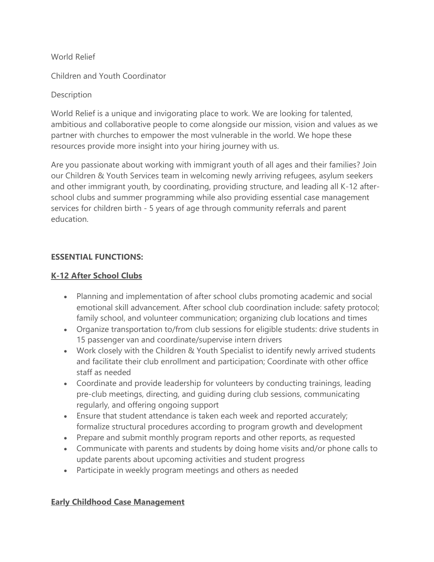World Relief

Children and Youth Coordinator

## **Description**

World Relief is a unique and invigorating place to work. We are looking for talented, ambitious and collaborative people to come alongside our mission, vision and values as we partner with churches to empower the most vulnerable in the world. We hope these resources provide more insight into your hiring journey with us.

Are you passionate about working with immigrant youth of all ages and their families? Join our Children & Youth Services team in welcoming newly arriving refugees, asylum seekers and other immigrant youth, by coordinating, providing structure, and leading all K-12 afterschool clubs and summer programming while also providing essential case management services for children birth - 5 years of age through community referrals and parent education.

## **ESSENTIAL FUNCTIONS:**

## **K-12 After School Clubs**

- Planning and implementation of after school clubs promoting academic and social emotional skill advancement. After school club coordination include: safety protocol; family school, and volunteer communication; organizing club locations and times
- Organize transportation to/from club sessions for eligible students: drive students in 15 passenger van and coordinate/supervise intern drivers
- Work closely with the Children & Youth Specialist to identify newly arrived students and facilitate their club enrollment and participation; Coordinate with other office staff as needed
- Coordinate and provide leadership for volunteers by conducting trainings, leading pre-club meetings, directing, and guiding during club sessions, communicating regularly, and offering ongoing support
- Ensure that student attendance is taken each week and reported accurately; formalize structural procedures according to program growth and development
- Prepare and submit monthly program reports and other reports, as requested
- Communicate with parents and students by doing home visits and/or phone calls to update parents about upcoming activities and student progress
- Participate in weekly program meetings and others as needed

# **Early Childhood Case Management**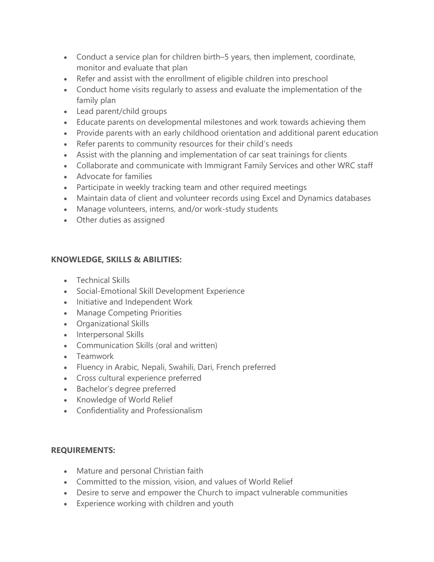- Conduct a service plan for children birth–5 years, then implement, coordinate, monitor and evaluate that plan
- Refer and assist with the enrollment of eligible children into preschool
- Conduct home visits regularly to assess and evaluate the implementation of the family plan
- Lead parent/child groups
- Educate parents on developmental milestones and work towards achieving them
- Provide parents with an early childhood orientation and additional parent education
- Refer parents to community resources for their child's needs
- Assist with the planning and implementation of car seat trainings for clients
- Collaborate and communicate with Immigrant Family Services and other WRC staff
- Advocate for families
- Participate in weekly tracking team and other required meetings
- Maintain data of client and volunteer records using Excel and Dynamics databases
- Manage volunteers, interns, and/or work-study students
- Other duties as assigned

### **KNOWLEDGE, SKILLS & ABILITIES:**

- Technical Skills
- Social-Emotional Skill Development Experience
- Initiative and Independent Work
- Manage Competing Priorities
- Organizational Skills
- Interpersonal Skills
- Communication Skills (oral and written)
- Teamwork
- Fluency in Arabic, Nepali, Swahili, Dari, French preferred
- Cross cultural experience preferred
- Bachelor's degree preferred
- Knowledge of World Relief
- Confidentiality and Professionalism

### **REQUIREMENTS:**

- Mature and personal Christian faith
- Committed to the mission, vision, and values of World Relief
- Desire to serve and empower the Church to impact vulnerable communities
- Experience working with children and youth